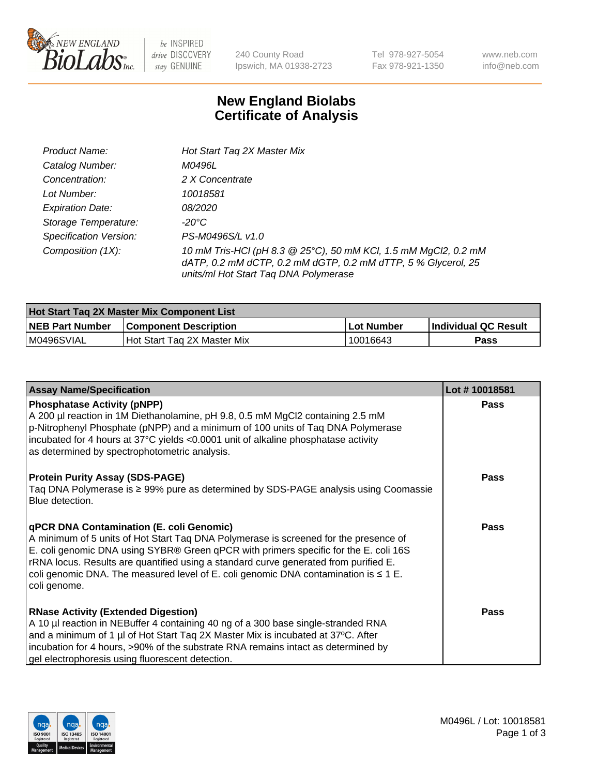

be INSPIRED drive DISCOVERY stay GENUINE

240 County Road Ipswich, MA 01938-2723 Tel 978-927-5054 Fax 978-921-1350 www.neb.com info@neb.com

## **New England Biolabs Certificate of Analysis**

| Product Name:                 | Hot Start Tag 2X Master Mix                                                                                                                                               |
|-------------------------------|---------------------------------------------------------------------------------------------------------------------------------------------------------------------------|
| Catalog Number:               | M0496L                                                                                                                                                                    |
| Concentration:                | 2 X Concentrate                                                                                                                                                           |
| Lot Number:                   | 10018581                                                                                                                                                                  |
| <b>Expiration Date:</b>       | <i>08/2020</i>                                                                                                                                                            |
| Storage Temperature:          | -20°C                                                                                                                                                                     |
| <b>Specification Version:</b> | PS-M0496S/L v1.0                                                                                                                                                          |
| Composition (1X):             | 10 mM Tris-HCl (pH 8.3 @ 25°C), 50 mM KCl, 1.5 mM MgCl2, 0.2 mM<br>dATP, 0.2 mM dCTP, 0.2 mM dGTP, 0.2 mM dTTP, 5 % Glycerol, 25<br>units/ml Hot Start Taq DNA Polymerase |

| Hot Start Taq 2X Master Mix Component List |                              |             |                             |  |
|--------------------------------------------|------------------------------|-------------|-----------------------------|--|
| <b>NEB Part Number</b>                     | <b>Component Description</b> | ∣Lot Number | <b>Individual QC Result</b> |  |
| M0496SVIAL                                 | Hot Start Tag 2X Master Mix  | 10016643    | Pass                        |  |

| <b>Assay Name/Specification</b>                                                                                                                                                                                                                                                                                                                                                                                              | Lot #10018581 |
|------------------------------------------------------------------------------------------------------------------------------------------------------------------------------------------------------------------------------------------------------------------------------------------------------------------------------------------------------------------------------------------------------------------------------|---------------|
| <b>Phosphatase Activity (pNPP)</b><br>A 200 µl reaction in 1M Diethanolamine, pH 9.8, 0.5 mM MgCl2 containing 2.5 mM<br>p-Nitrophenyl Phosphate (pNPP) and a minimum of 100 units of Taq DNA Polymerase<br>incubated for 4 hours at 37°C yields <0.0001 unit of alkaline phosphatase activity<br>as determined by spectrophotometric analysis.                                                                               | <b>Pass</b>   |
| <b>Protein Purity Assay (SDS-PAGE)</b><br>Taq DNA Polymerase is ≥ 99% pure as determined by SDS-PAGE analysis using Coomassie<br>Blue detection.                                                                                                                                                                                                                                                                             | <b>Pass</b>   |
| qPCR DNA Contamination (E. coli Genomic)<br>A minimum of 5 units of Hot Start Taq DNA Polymerase is screened for the presence of<br>E. coli genomic DNA using SYBR® Green qPCR with primers specific for the E. coli 16S<br>rRNA locus. Results are quantified using a standard curve generated from purified E.<br>coli genomic DNA. The measured level of E. coli genomic DNA contamination is $\leq 1$ E.<br>coli genome. | Pass          |
| <b>RNase Activity (Extended Digestion)</b><br>A 10 µl reaction in NEBuffer 4 containing 40 ng of a 300 base single-stranded RNA<br>and a minimum of 1 µl of Hot Start Taq 2X Master Mix is incubated at 37°C. After<br>incubation for 4 hours, >90% of the substrate RNA remains intact as determined by<br>gel electrophoresis using fluorescent detection.                                                                 | <b>Pass</b>   |

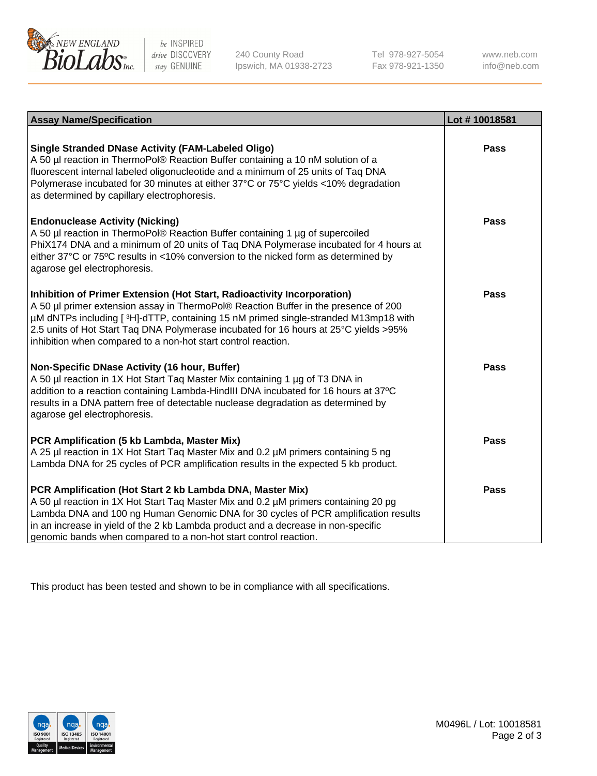

be INSPIRED drive DISCOVERY stay GENUINE

240 County Road Ipswich, MA 01938-2723 Tel 978-927-5054 Fax 978-921-1350 www.neb.com info@neb.com

| <b>Assay Name/Specification</b>                                                                                                                                                                                                                                                                                                                                                                               | Lot #10018581 |
|---------------------------------------------------------------------------------------------------------------------------------------------------------------------------------------------------------------------------------------------------------------------------------------------------------------------------------------------------------------------------------------------------------------|---------------|
| <b>Single Stranded DNase Activity (FAM-Labeled Oligo)</b><br>A 50 µl reaction in ThermoPol® Reaction Buffer containing a 10 nM solution of a<br>fluorescent internal labeled oligonucleotide and a minimum of 25 units of Taq DNA<br>Polymerase incubated for 30 minutes at either 37°C or 75°C yields <10% degradation<br>as determined by capillary electrophoresis.                                        | <b>Pass</b>   |
| <b>Endonuclease Activity (Nicking)</b><br>A 50 µl reaction in ThermoPol® Reaction Buffer containing 1 µg of supercoiled<br>PhiX174 DNA and a minimum of 20 units of Taq DNA Polymerase incubated for 4 hours at<br>either 37°C or 75°C results in <10% conversion to the nicked form as determined by<br>agarose gel electrophoresis.                                                                         | Pass          |
| Inhibition of Primer Extension (Hot Start, Radioactivity Incorporation)<br>A 50 µl primer extension assay in ThermoPol® Reaction Buffer in the presence of 200<br>µM dNTPs including [3H]-dTTP, containing 15 nM primed single-stranded M13mp18 with<br>2.5 units of Hot Start Taq DNA Polymerase incubated for 16 hours at 25°C yields >95%<br>inhibition when compared to a non-hot start control reaction. | <b>Pass</b>   |
| Non-Specific DNase Activity (16 hour, Buffer)<br>A 50 µl reaction in 1X Hot Start Taq Master Mix containing 1 µg of T3 DNA in<br>addition to a reaction containing Lambda-HindIII DNA incubated for 16 hours at 37°C<br>results in a DNA pattern free of detectable nuclease degradation as determined by<br>agarose gel electrophoresis.                                                                     | <b>Pass</b>   |
| PCR Amplification (5 kb Lambda, Master Mix)<br>A 25 µl reaction in 1X Hot Start Taq Master Mix and 0.2 µM primers containing 5 ng<br>Lambda DNA for 25 cycles of PCR amplification results in the expected 5 kb product.                                                                                                                                                                                      | <b>Pass</b>   |
| PCR Amplification (Hot Start 2 kb Lambda DNA, Master Mix)<br>A 50 µl reaction in 1X Hot Start Taq Master Mix and 0.2 µM primers containing 20 pg<br>Lambda DNA and 100 ng Human Genomic DNA for 30 cycles of PCR amplification results<br>in an increase in yield of the 2 kb Lambda product and a decrease in non-specific<br>genomic bands when compared to a non-hot start control reaction.               | Pass          |

This product has been tested and shown to be in compliance with all specifications.